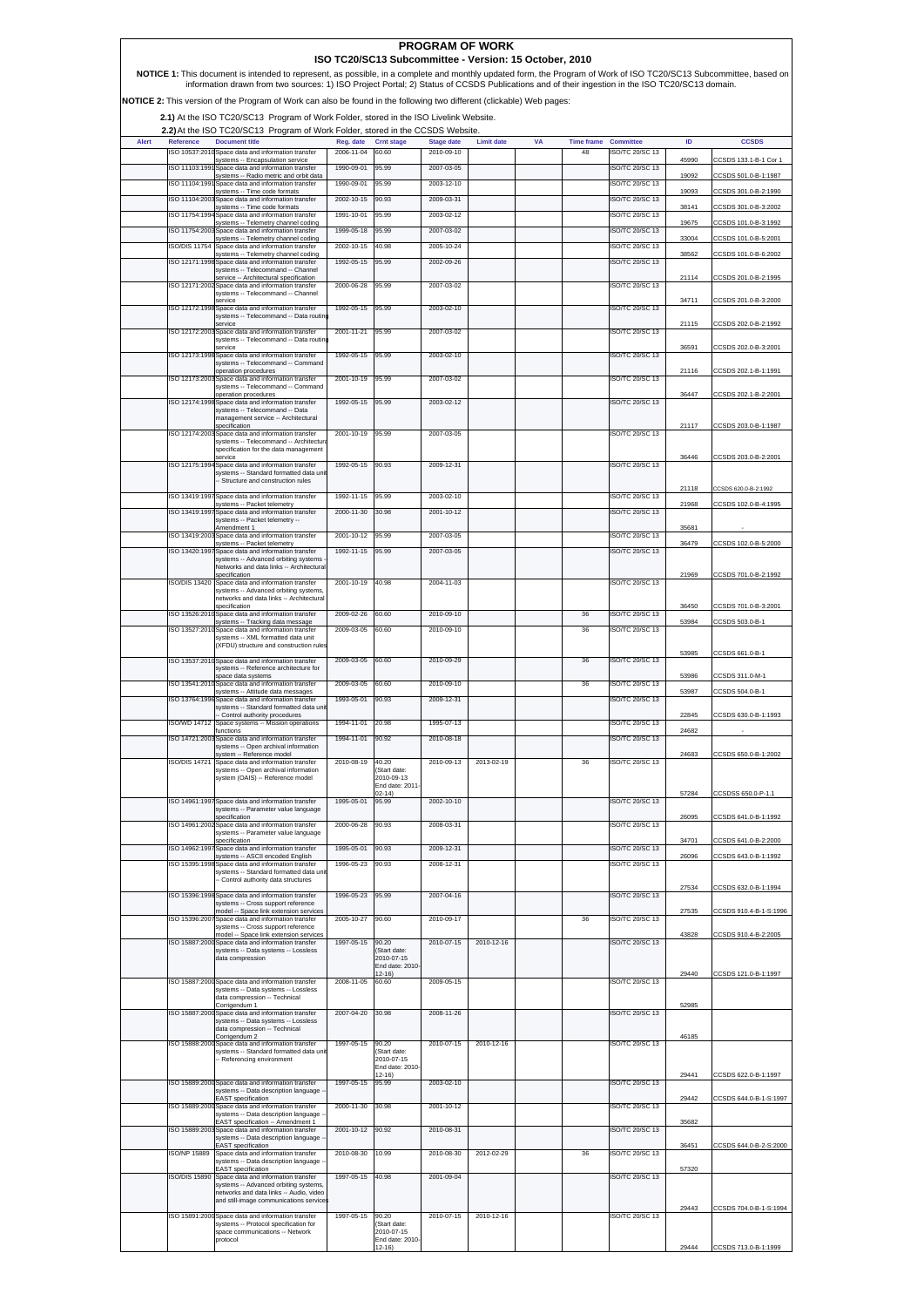| <b>PROGRAM OF WORK</b><br>ISO TC20/SC13 Subcommittee - Version: 15 October, 2010                                                                                                                                                                                                                                     |                                 |                                                                                                                                               |                          |                                     |                          |                   |    |                   |                                         |                |                                              |
|----------------------------------------------------------------------------------------------------------------------------------------------------------------------------------------------------------------------------------------------------------------------------------------------------------------------|---------------------------------|-----------------------------------------------------------------------------------------------------------------------------------------------|--------------------------|-------------------------------------|--------------------------|-------------------|----|-------------------|-----------------------------------------|----------------|----------------------------------------------|
| NOTICE 1: This document is intended to represent, as possible, in a complete and monthly updated form, the Program of Work of ISO TC20/SC13 Subcommittee, based on<br>information drawn from two sources: 1) ISO Project Portal; 2) Status of CCSDS Publications and of their ingestion in the ISO TC20/SC13 domain. |                                 |                                                                                                                                               |                          |                                     |                          |                   |    |                   |                                         |                |                                              |
|                                                                                                                                                                                                                                                                                                                      |                                 | NOTICE 2: This version of the Program of Work can also be found in the following two different (clickable) Web pages:                         |                          |                                     |                          |                   |    |                   |                                         |                |                                              |
| 2.1) At the ISO TC20/SC13 Program of Work Folder, stored in the ISO Livelink Website.                                                                                                                                                                                                                                |                                 |                                                                                                                                               |                          |                                     |                          |                   |    |                   |                                         |                |                                              |
| Alert                                                                                                                                                                                                                                                                                                                | Reference                       | 2.2) At the ISO TC20/SC13 Program of Work Folder, stored in the CCSDS Website.<br><b>Document title</b>                                       | Reg. date                | Crnt stage                          | <b>Stage date</b>        | <b>Limit date</b> | VA | <b>Time frame</b> | <b>Committee</b>                        | ID             | <b>CCSDS</b>                                 |
|                                                                                                                                                                                                                                                                                                                      |                                 | ISO 10537:2010 Space data and information transfer<br>systems -- Encapsulation service                                                        | 2006-11-04               | 60.60                               | 2010-09-10               |                   |    | 48                | <b>ISO/TC 20/SC 13</b>                  | 45990          | CCSDS 133.1-B-1 Cor 1                        |
|                                                                                                                                                                                                                                                                                                                      | ISO 11103:199<br>ISO 11104:1991 | Space data and information transfer<br>systems -- Radio metric and orbit data<br>Space data and information transfer                          | 1990-09-01<br>1990-09-01 | 95.99<br>95.99                      | 2007-03-05<br>2003-12-10 |                   |    |                   | <b>SO/TC 20/SC 13</b><br>SO/TC 20/SC 13 | 19092          | CCSDS 501.0-B-1:1987                         |
|                                                                                                                                                                                                                                                                                                                      |                                 | systems -- Time code formats<br>ISO 11104:2003 Space data and information transfer                                                            | 2002-10-15               | 90.93                               | 2009-03-31               |                   |    |                   | <b>SO/TC 20/SC 13</b>                   | 19093          | CCSDS 301.0-B-2:1990                         |
|                                                                                                                                                                                                                                                                                                                      | ISO 11754:1994                  | systems -- Time code formats<br>Space data and information transfer                                                                           | 1991-10-01               | 95.99                               | 2003-02-12               |                   |    |                   | <b>SO/TC 20/SC 13</b>                   | 38141          | CCSDS 301.0-B-3:2002                         |
|                                                                                                                                                                                                                                                                                                                      |                                 | systems -- Telemetry channel coding<br>ISO 11754:2003 Space data and information transfer<br>systems -- Telemetry channel coding              | 1999-05-18               | 95.99                               | 2007-03-02               |                   |    |                   | SO/TC 20/SC 13                          | 19675<br>33004 | CCSDS 101.0-B-3:1992<br>CCSDS 101.0-B-5:2001 |
|                                                                                                                                                                                                                                                                                                                      | <b>ISO/DIS 11754</b>            | Space data and information transfer<br>systems -- Telemetry channel coding                                                                    | 2002-10-15               | 40.98                               | 2005-10-24               |                   |    |                   | SO/TC 20/SC 13                          | 38562          | CCSDS 101.0-B-6:2002                         |
|                                                                                                                                                                                                                                                                                                                      |                                 | ISO 12171:1998 Space data and information transfer<br>systems -- Telecommand -- Channel<br>service -- Architectural specification             | 1992-05-15               | 95.99                               | 2002-09-26               |                   |    |                   | <b>SO/TC 20/SC 13</b>                   | 21114          | CCSDS 201.0-B-2:1995                         |
|                                                                                                                                                                                                                                                                                                                      |                                 | ISO 12171:2002 Space data and information transfer<br>systems -- Telecommand -- Channel                                                       | 2000-06-28               | 95.99                               | 2007-03-02               |                   |    |                   | <b>SO/TC 20/SC 13</b>                   |                |                                              |
|                                                                                                                                                                                                                                                                                                                      |                                 | service<br>ISO 12172:1998 Space data and information transfer<br>systems -- Telecommand -- Data routin                                        | 1992-05-15               | 95.99                               | 2003-02-10               |                   |    |                   | <b>SO/TC 20/SC 13</b>                   | 34711          | CCSDS 201.0-B-3:2000                         |
|                                                                                                                                                                                                                                                                                                                      |                                 | service<br>ISO 12172:2003 Space data and information transfer                                                                                 | 2001-11-21               | 95.99                               | 2007-03-02               |                   |    |                   | <b>SO/TC 20/SC 13</b>                   | 21115          | CCSDS 202.0-B-2:1992                         |
|                                                                                                                                                                                                                                                                                                                      |                                 | systems -- Telecommand -- Data routin<br>service<br>ISO 12173:1998 Space data and information transfer                                        | 1992-05-15               | 95.99                               | 2003-02-10               |                   |    |                   | <b>SO/TC 20/SC 13</b>                   | 36591          | CCSDS 202.0-B-3:2001                         |
|                                                                                                                                                                                                                                                                                                                      |                                 | systems -- Telecommand -- Command<br>operation procedures                                                                                     |                          |                                     |                          |                   |    |                   |                                         | 21116          | CCSDS 202.1-B-1:1991                         |
|                                                                                                                                                                                                                                                                                                                      |                                 | ISO 12173:2003 Space data and information transfer<br>systems -- Telecommand -- Command<br>operation procedures                               | 2001-10-19               | 95.99                               | 2007-03-02               |                   |    |                   | <b>SO/TC 20/SC 13</b>                   | 36447          | CCSDS 202.1-B-2:2001                         |
|                                                                                                                                                                                                                                                                                                                      |                                 | ISO 12174:1998 Space data and information transfer<br>systems -- Telecommand -- Data                                                          | 1992-05-15               | 95.99                               | 2003-02-12               |                   |    |                   | <b>SO/TC 20/SC 13</b>                   |                |                                              |
|                                                                                                                                                                                                                                                                                                                      |                                 | management service -- Architectural<br>specification<br>ISO 12174:2003 Space data and information transfer                                    | 2001-10-19               | 95.99                               | 2007-03-05               |                   |    |                   | <b>SO/TC 20/SC 13</b>                   | 21117          | CCSDS 203.0-B-1:1987                         |
|                                                                                                                                                                                                                                                                                                                      |                                 | systems -- Telecommand -- Architectur<br>specification for the data management                                                                |                          |                                     |                          |                   |    |                   |                                         |                |                                              |
|                                                                                                                                                                                                                                                                                                                      |                                 | service<br>ISO 12175:1994 Space data and information transfer                                                                                 | 1992-05-15               | 90.93                               | 2009-12-31               |                   |    |                   | <b>SO/TC 20/SC 13</b>                   | 36446          | CCSDS 203.0-B-2:2001                         |
|                                                                                                                                                                                                                                                                                                                      |                                 | systems -- Standard formatted data unit<br>- Structure and construction rules                                                                 |                          |                                     |                          |                   |    |                   |                                         | 21118          | CCSDS 620.0-B-2:1992                         |
|                                                                                                                                                                                                                                                                                                                      |                                 | ISO 13419:1997 Space data and information transfer<br>systems -- Packet telemetry                                                             | 1992-11-15               | 95.99                               | 2003-02-10               |                   |    |                   | <b>SO/TC 20/SC 13</b>                   | 21968          | CCSDS 102.0-B-4:1995                         |
|                                                                                                                                                                                                                                                                                                                      | ISO 13419:1997                  | Space data and information transfer<br>systems -- Packet telemetry --<br>Amendment 1                                                          | 2000-11-30               | 30.98                               | 2001-10-12               |                   |    |                   | ISO/TC 20/SC 13                         | 35681          |                                              |
|                                                                                                                                                                                                                                                                                                                      |                                 | ISO 13419:2003 Space data and information transfer<br>systems -- Packet telemetry                                                             | 2001-10-12               | 95.99                               | 2007-03-05               |                   |    |                   | SO/TC 20/SC 13                          | 36479          | CCSDS 102.0-B-5:2000                         |
|                                                                                                                                                                                                                                                                                                                      |                                 | ISO 13420:1997 Space data and information transfer<br>systems -- Advanced orbiting systems<br>Networks and data links -- Architectural        | 1992-11-15               | 95.99                               | 2007-03-05               |                   |    |                   | <b>SO/TC 20/SC 13</b>                   |                |                                              |
|                                                                                                                                                                                                                                                                                                                      |                                 | specification<br>SO/DIS 13420 Space data and information transfer                                                                             | 2001-10-19               | 40.98                               | 2004-11-03               |                   |    |                   | <b>SO/TC 20/SC 13</b>                   | 21969          | CCSDS 701.0-B-2:1992                         |
|                                                                                                                                                                                                                                                                                                                      |                                 | systems -- Advanced orbiting systems,<br>networks and data links -- Architectural<br>specification                                            |                          |                                     |                          |                   |    |                   |                                         | 36450          | CCSDS 701.0-B-3:2001                         |
|                                                                                                                                                                                                                                                                                                                      |                                 | ISO 13526:2010 Space data and information transfer<br>systems -- Tracking data message                                                        | 2009-02-26               | 60.60                               | 2010-09-10               |                   |    | 36                | <b>SO/TC 20/SC 13</b>                   | 53984          | CCSDS 503.0-B-1                              |
|                                                                                                                                                                                                                                                                                                                      | ISO 13527:2010                  | Space data and information transfer<br>systems -- XML formatted data unit                                                                     | 2009-03-05               | 60.60                               | 2010-09-10               |                   |    | 36                | <b>SO/TC 20/SC 13</b>                   |                |                                              |
|                                                                                                                                                                                                                                                                                                                      |                                 | (XFDU) structure and construction rules<br>ISO 13537:2010 Space data and information transfer                                                 | 2009-03-05               | 60.60                               | 2010-09-29               |                   |    | 36                | <b>SO/TC 20/SC 13</b>                   | 53985          | CCSDS 661.0-B-1                              |
|                                                                                                                                                                                                                                                                                                                      |                                 | systems -- Reference architecture for<br>space data systems                                                                                   |                          |                                     |                          |                   |    |                   |                                         | 53986          | CCSDS 311.0-M-1                              |
|                                                                                                                                                                                                                                                                                                                      |                                 | ISO 13541:2010 Space data and information transfer<br>systems -- Attitude data messages<br>ISO 13764:1996 Space data and information transfer | 2009-03-05<br>1993-05-01 | 60.60<br>90.93                      | 2010-09-10<br>2009-12-31 |                   |    | 36                | SO/TC 20/SC 13<br><b>SO/TC 20/SC 13</b> | 53987          | CCSDS 504.0-B-1                              |
|                                                                                                                                                                                                                                                                                                                      |                                 | systems -- Standard formatted data uni<br>- Control authority procedures                                                                      |                          |                                     |                          |                   |    |                   |                                         | 22845          | CCSDS 630.0-B-1:1993                         |
|                                                                                                                                                                                                                                                                                                                      | <b>ISO/WD 14712</b>             | Space systems -- Mission operations<br>functions<br>ISO 14721:2003 Space data and information transfer                                        | 1994-11-01<br>1994-11-01 | 20.98<br>90.92                      | 1995-07-13<br>2010-08-18 |                   |    |                   | SO/TC 20/SC 13<br><b>SO/TC 20/SC 13</b> | 24682          |                                              |
|                                                                                                                                                                                                                                                                                                                      |                                 | systems -- Open archival information<br>system -- Reference model                                                                             |                          |                                     |                          |                   |    |                   |                                         | 24683          | CCSDS 650.0-B-1:2002                         |
|                                                                                                                                                                                                                                                                                                                      | <b>ISO/DIS 14721</b>            | Space data and information transfer<br>systems -- Open archival information<br>system (OAIS) -- Reference model                               | 2010-08-19               | 40.20<br>Start date:<br>2010-09-13  | 2010-09-13               | 2013-02-19        |    | 36                | <b>SO/TC 20/SC 13</b>                   |                |                                              |
|                                                                                                                                                                                                                                                                                                                      |                                 |                                                                                                                                               |                          | End date: 2011-<br>$02 - 14$        |                          |                   |    |                   |                                         | 57284          | CCSDSS 650.0-P-1.1                           |
|                                                                                                                                                                                                                                                                                                                      |                                 | ISO 14961:1997 Space data and information transfer<br>systems -- Parameter value language                                                     | 1995-05-01               | 95.99                               | 2002-10-10               |                   |    |                   | SO/TC 20/SC 13                          | 26095          | CCSDS 641.0-B-1:1992                         |
|                                                                                                                                                                                                                                                                                                                      |                                 | specification<br>ISO 14961:2002 Space data and information transfer<br>systems -- Parameter value language                                    | 2000-06-28               | 90.93                               | 2008-03-31               |                   |    |                   | SO/TC 20/SC 13                          |                |                                              |
|                                                                                                                                                                                                                                                                                                                      | ISO 14962:1997                  | specification<br>Space data and information transfer                                                                                          | 1995-05-01               | 90.93                               | 2009-12-31               |                   |    |                   | SO/TC 20/SC 13                          | 34701          | CCSDS 641.0-B-2:2000                         |
|                                                                                                                                                                                                                                                                                                                      |                                 | systems -- ASCII encoded English<br>ISO 15395:1998 Space data and information transfer<br>systems -- Standard formatted data unit             | 1996-05-23               | 90.93                               | 2008-12-31               |                   |    |                   | <b>SO/TC 20/SC 13</b>                   | 26096          | CCSDS 643.0-B-1:1992                         |
|                                                                                                                                                                                                                                                                                                                      |                                 | Control authority data structures                                                                                                             |                          |                                     |                          |                   |    |                   |                                         | 27534          | CCSDS 632.0-B-1:1994                         |
|                                                                                                                                                                                                                                                                                                                      |                                 | ISO 15396:1998 Space data and information transfer<br>systems -- Cross support reference<br>model -- Space link extension services            | 1996-05-23               | 95.99                               | 2007-04-16               |                   |    |                   | <b>SO/TC 20/SC 13</b>                   | 27535          | CCSDS 910.4-B-1-S:1996                       |
|                                                                                                                                                                                                                                                                                                                      |                                 | ISO 15396:2007 Space data and information transfer<br>systems -- Cross support reference                                                      | 2005-10-27               | 90.60                               | 2010-09-17               |                   |    | 36                | <b>SO/TC 20/SC 13</b>                   |                |                                              |
|                                                                                                                                                                                                                                                                                                                      |                                 | model -- Space link extension services<br>ISO 15887:2000 Space data and information transfer<br>systems -- Data systems -- Lossless           | 1997-05-15               | 90.20<br>(Start date:               | 2010-07-15               | 2010-12-16        |    |                   | <b>SO/TC 20/SC 13</b>                   | 43828          | CCSDS 910.4-B-2:2005                         |
|                                                                                                                                                                                                                                                                                                                      |                                 | data compression                                                                                                                              |                          | 2010-07-15<br>End date: 2010-       |                          |                   |    |                   |                                         |                |                                              |
|                                                                                                                                                                                                                                                                                                                      |                                 | ISO 15887:2000 Space data and information transfer                                                                                            | 2008-11-05               | $12-16$<br>60.60                    | 2009-05-15               |                   |    |                   | <b>SO/TC 20/SC 13</b>                   | 29440          | CCSDS 121.0-B-1:1997                         |
|                                                                                                                                                                                                                                                                                                                      |                                 | systems -- Data systems -- Lossless<br>data compression -- Technical<br>Corrigendum 1                                                         |                          |                                     |                          |                   |    |                   |                                         | 52985          |                                              |
|                                                                                                                                                                                                                                                                                                                      |                                 | ISO 15887:2000 Space data and information transfer<br>systems -- Data systems -- Lossless                                                     | 2007-04-20               | 30.98                               | 2008-11-26               |                   |    |                   | SO/TC 20/SC 13                          |                |                                              |
|                                                                                                                                                                                                                                                                                                                      | ISO 15888:2000                  | data compression -- Technical<br>Corrigendum 2<br>Space data and information transfer                                                         | 1997-05-15               | 90.20                               | 2010-07-15               | 2010-12-16        |    |                   | <b>SO/TC 20/SC 13</b>                   | 46185          |                                              |
|                                                                                                                                                                                                                                                                                                                      |                                 | systems -- Standard formatted data unit<br>- Referencing environment                                                                          |                          | (Start date:<br>2010-07-15          |                          |                   |    |                   |                                         |                |                                              |
|                                                                                                                                                                                                                                                                                                                      |                                 | ISO 15889:2000 Space data and information transfer                                                                                            | 1997-05-15               | End date: 2010-<br>$12-16$<br>95.99 | 2003-02-10               |                   |    |                   | SO/TC 20/SC 13                          | 29441          | CCSDS 622.0-B-1:1997                         |
|                                                                                                                                                                                                                                                                                                                      |                                 | systems -- Data description language --<br>EAST specification                                                                                 |                          |                                     |                          |                   |    |                   |                                         | 29442          | CCSDS 644.0-B-1-S:1997                       |
|                                                                                                                                                                                                                                                                                                                      |                                 | ISO 15889:2000 Space data and information transfer<br>systems -- Data description language -                                                  | 2000-11-30               | 30.98                               | 2001-10-12               |                   |    |                   | <b>SO/TC 20/SC 13</b>                   |                |                                              |
|                                                                                                                                                                                                                                                                                                                      |                                 | EAST specification -- Amendment 1<br>ISO 15889:2003 Space data and information transfer<br>systems -- Data description language               | 2001-10-12               | 90.92                               | 2010-08-31               |                   |    |                   | <b>SO/TC 20/SC 13</b>                   | 35682          |                                              |
|                                                                                                                                                                                                                                                                                                                      | <b>ISO/NP 15889</b>             | EAST specification<br>Space data and information transfer                                                                                     | 2010-08-30               | 10.99                               | 2010-08-30               | 2012-02-29        |    | 36                | <b>SO/TC 20/SC 13</b>                   | 36451          | CCSDS 644.0-B-2-S:2000                       |
|                                                                                                                                                                                                                                                                                                                      | <b>ISO/DIS 15890</b>            | systems -- Data description language -<br>AST specification<br>Space data and information transfer                                            | 1997-05-15               | 40.98                               | 2001-09-04               |                   |    |                   | <b>SO/TC 20/SC 13</b>                   | 57320          |                                              |
|                                                                                                                                                                                                                                                                                                                      |                                 | systems -- Advanced orbiting systems,<br>networks and data links -- Audio, video                                                              |                          |                                     |                          |                   |    |                   |                                         |                |                                              |
|                                                                                                                                                                                                                                                                                                                      |                                 | and still-image communications service<br>ISO 15891:2000 Space data and information transfer                                                  | 1997-05-15               | 90.20                               | 2010-07-15               | 2010-12-16        |    |                   | <b>SO/TC 20/SC 13</b>                   | 29443          | CCSDS 704.0-B-1-S:1994                       |
|                                                                                                                                                                                                                                                                                                                      |                                 | systems -- Protocol specification for<br>space communications -- Network                                                                      |                          | (Start date:<br>2010-07-15          |                          |                   |    |                   |                                         |                |                                              |
|                                                                                                                                                                                                                                                                                                                      |                                 | protocol                                                                                                                                      |                          | End date: 2010-<br>$(2-16)$         |                          |                   |    |                   |                                         | 29444          | CCSDS 713.0-B-1:1999                         |